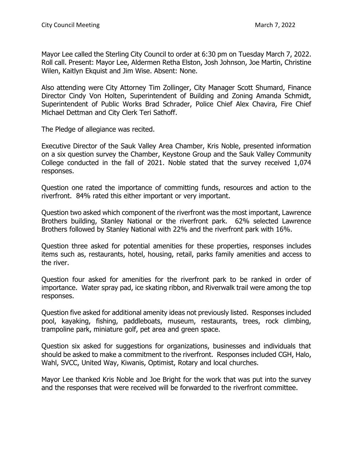Mayor Lee called the Sterling City Council to order at 6:30 pm on Tuesday March 7, 2022. Roll call. Present: Mayor Lee, Aldermen Retha Elston, Josh Johnson, Joe Martin, Christine Wilen, Kaitlyn Ekquist and Jim Wise. Absent: None.

Also attending were City Attorney Tim Zollinger, City Manager Scott Shumard, Finance Director Cindy Von Holten, Superintendent of Building and Zoning Amanda Schmidt, Superintendent of Public Works Brad Schrader, Police Chief Alex Chavira, Fire Chief Michael Dettman and City Clerk Teri Sathoff.

The Pledge of allegiance was recited.

Executive Director of the Sauk Valley Area Chamber, Kris Noble, presented information on a six question survey the Chamber, Keystone Group and the Sauk Valley Community College conducted in the fall of 2021. Noble stated that the survey received 1,074 responses.

Question one rated the importance of committing funds, resources and action to the riverfront. 84% rated this either important or very important.

Question two asked which component of the riverfront was the most important, Lawrence Brothers building, Stanley National or the riverfront park. 62% selected Lawrence Brothers followed by Stanley National with 22% and the riverfront park with 16%.

Question three asked for potential amenities for these properties, responses includes items such as, restaurants, hotel, housing, retail, parks family amenities and access to the river.

Question four asked for amenities for the riverfront park to be ranked in order of importance. Water spray pad, ice skating ribbon, and Riverwalk trail were among the top responses.

Question five asked for additional amenity ideas not previously listed. Responses included pool, kayaking, fishing, paddleboats, museum, restaurants, trees, rock climbing, trampoline park, miniature golf, pet area and green space.

Question six asked for suggestions for organizations, businesses and individuals that should be asked to make a commitment to the riverfront. Responses included CGH, Halo, Wahl, SVCC, United Way, Kiwanis, Optimist, Rotary and local churches.

Mayor Lee thanked Kris Noble and Joe Bright for the work that was put into the survey and the responses that were received will be forwarded to the riverfront committee.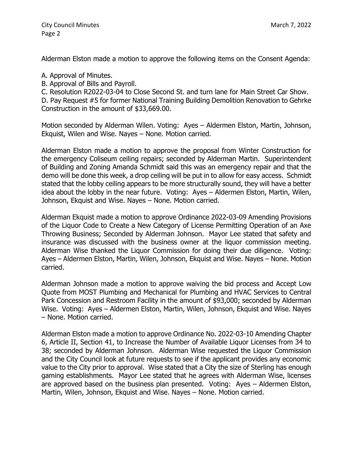Alderman Elston made a motion to approve the following items on the Consent Agenda:

A. Approval of Minutes.

B. Approval of Bills and Payroll.

C. Resolution R2022-03-04 to Close Second St. and turn lane for Main Street Car Show.

D. Pay Request #5 for former National Training Building Demolition Renovation to Gehrke Construction in the amount of \$33,669.00.

Motion seconded by Alderman Wilen. Voting: Ayes – Aldermen Elston, Martin, Johnson, Ekquist, Wilen and Wise. Nayes – None. Motion carried.

Alderman Elston made a motion to approve the proposal from Winter Construction for the emergency Coliseum ceiling repairs; seconded by Alderman Martin. Superintendent of Building and Zoning Amanda Schmidt said this was an emergency repair and that the demo will be done this week, a drop ceiling will be put in to allow for easy access. Schmidt stated that the lobby ceiling appears to be more structurally sound, they will have a better idea about the lobby in the near future. Voting: Ayes – Aldermen Elston, Martin, Wilen, Johnson, Ekquist and Wise. Nayes – None. Motion carried.

Alderman Ekquist made a motion to approve Ordinance 2022-03-09 Amending Provisions of the Liquor Code to Create a New Category of License Permitting Operation of an Axe Throwing Business; Seconded by Alderman Johnson. Mayor Lee stated that safety and insurance was discussed with the business owner at the liquor commission meeting. Alderman Wise thanked the Liquor Commission for doing their due diligence. Voting: Ayes – Aldermen Elston, Martin, Wilen, Johnson, Ekquist and Wise. Nayes – None. Motion carried.

Alderman Johnson made a motion to approve waiving the bid process and Accept Low Quote from MOST Plumbing and Mechanical for Plumbing and HVAC Services to Central Park Concession and Restroom Facility in the amount of \$93,000; seconded by Alderman Wise. Voting: Ayes – Aldermen Elston, Martin, Wilen, Johnson, Ekquist and Wise. Nayes – None. Motion carried.

Alderman Elston made a motion to approve Ordinance No. 2022-03-10 Amending Chapter 6, Article II, Section 41, to Increase the Number of Available Liquor Licenses from 34 to 38; seconded by Alderman Johnson. Alderman Wise requested the Liquor Commission and the City Council look at future requests to see if the applicant provides any economic value to the City prior to approval. Wise stated that a City the size of Sterling has enough gaming establishments. Mayor Lee stated that he agrees with Alderman Wise, licenses are approved based on the business plan presented. Voting: Ayes – Aldermen Elston, Martin, Wilen, Johnson, Ekquist and Wise. Nayes – None. Motion carried.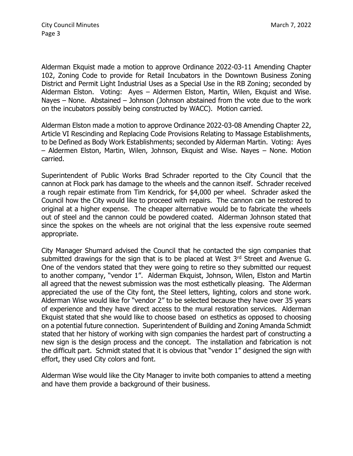Alderman Ekquist made a motion to approve Ordinance 2022-03-11 Amending Chapter 102, Zoning Code to provide for Retail Incubators in the Downtown Business Zoning District and Permit Light Industrial Uses as a Special Use in the RB Zoning; seconded by Alderman Elston. Voting: Ayes – Aldermen Elston, Martin, Wilen, Ekquist and Wise. Nayes – None. Abstained – Johnson (Johnson abstained from the vote due to the work on the incubators possibly being constructed by WACC). Motion carried.

Alderman Elston made a motion to approve Ordinance 2022-03-08 Amending Chapter 22, Article VI Rescinding and Replacing Code Provisions Relating to Massage Establishments, to be Defined as Body Work Establishments; seconded by Alderman Martin. Voting: Ayes – Aldermen Elston, Martin, Wilen, Johnson, Ekquist and Wise. Nayes – None. Motion carried.

Superintendent of Public Works Brad Schrader reported to the City Council that the cannon at Flock park has damage to the wheels and the cannon itself. Schrader received a rough repair estimate from Tim Kendrick, for \$4,000 per wheel. Schrader asked the Council how the City would like to proceed with repairs. The cannon can be restored to original at a higher expense. The cheaper alternative would be to fabricate the wheels out of steel and the cannon could be powdered coated. Alderman Johnson stated that since the spokes on the wheels are not original that the less expensive route seemed appropriate.

City Manager Shumard advised the Council that he contacted the sign companies that submitted drawings for the sign that is to be placed at West  $3<sup>rd</sup>$  Street and Avenue G. One of the vendors stated that they were going to retire so they submitted our request to another company, "vendor 1". Alderman Ekquist, Johnson, Wilen, Elston and Martin all agreed that the newest submission was the most esthetically pleasing. The Alderman appreciated the use of the City font, the Steel letters, lighting, colors and stone work. Alderman Wise would like for "vendor 2" to be selected because they have over 35 years of experience and they have direct access to the mural restoration services. Alderman Ekquist stated that she would like to choose based on esthetics as opposed to choosing on a potential future connection. Superintendent of Building and Zoning Amanda Schmidt stated that her history of working with sign companies the hardest part of constructing a new sign is the design process and the concept. The installation and fabrication is not the difficult part. Schmidt stated that it is obvious that "vendor 1" designed the sign with effort, they used City colors and font.

Alderman Wise would like the City Manager to invite both companies to attend a meeting and have them provide a background of their business.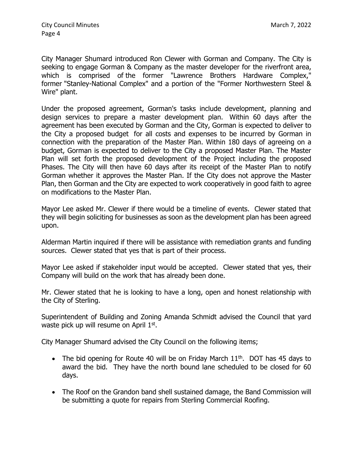City Manager Shumard introduced Ron Clewer with Gorman and Company. The City is seeking to engage Gorman & Company as the master developer for the riverfront area, which is comprised of the former "Lawrence Brothers Hardware Complex," former "Stanley-National Complex" and a portion of the "Former Northwestern Steel & Wire" plant.

Under the proposed agreement, Gorman's tasks include development, planning and design services to prepare a master development plan. Within 60 days after the agreement has been executed by Gorman and the City, Gorman is expected to deliver to the City a proposed budget for all costs and expenses to be incurred by Gorman in connection with the preparation of the Master Plan. Within 180 days of agreeing on a budget, Gorman is expected to deliver to the City a proposed Master Plan. The Master Plan will set forth the proposed development of the Project including the proposed Phases. The City will then have 60 days after its receipt of the Master Plan to notify Gorman whether it approves the Master Plan. If the City does not approve the Master Plan, then Gorman and the City are expected to work cooperatively in good faith to agree on modifications to the Master Plan.

Mayor Lee asked Mr. Clewer if there would be a timeline of events. Clewer stated that they will begin soliciting for businesses as soon as the development plan has been agreed upon.

Alderman Martin inquired if there will be assistance with remediation grants and funding sources. Clewer stated that yes that is part of their process.

Mayor Lee asked if stakeholder input would be accepted. Clewer stated that yes, their Company will build on the work that has already been done.

Mr. Clewer stated that he is looking to have a long, open and honest relationship with the City of Sterling.

Superintendent of Building and Zoning Amanda Schmidt advised the Council that yard waste pick up will resume on April 1st.

City Manager Shumard advised the City Council on the following items;

- The bid opening for Route 40 will be on Friday March  $11<sup>th</sup>$ . DOT has 45 days to award the bid. They have the north bound lane scheduled to be closed for 60 days.
- The Roof on the Grandon band shell sustained damage, the Band Commission will be submitting a quote for repairs from Sterling Commercial Roofing.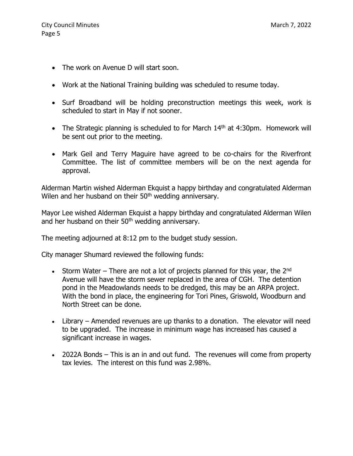- The work on Avenue D will start soon.
- Work at the National Training building was scheduled to resume today.
- Surf Broadband will be holding preconstruction meetings this week, work is scheduled to start in May if not sooner.
- The Strategic planning is scheduled to for March  $14<sup>th</sup>$  at 4:30pm. Homework will be sent out prior to the meeting.
- Mark Geil and Terry Maguire have agreed to be co-chairs for the Riverfront Committee. The list of committee members will be on the next agenda for approval.

Alderman Martin wished Alderman Ekquist a happy birthday and congratulated Alderman Wilen and her husband on their 50<sup>th</sup> wedding anniversary.

Mayor Lee wished Alderman Ekquist a happy birthday and congratulated Alderman Wilen and her husband on their 50<sup>th</sup> wedding anniversary.

The meeting adjourned at 8:12 pm to the budget study session.

City manager Shumard reviewed the following funds:

- Storm Water There are not a lot of projects planned for this year, the  $2^{nd}$ Avenue will have the storm sewer replaced in the area of CGH. The detention pond in the Meadowlands needs to be dredged, this may be an ARPA project. With the bond in place, the engineering for Tori Pines, Griswold, Woodburn and North Street can be done.
- Library Amended revenues are up thanks to a donation. The elevator will need to be upgraded. The increase in minimum wage has increased has caused a significant increase in wages.
- 2022A Bonds This is an in and out fund. The revenues will come from property tax levies. The interest on this fund was 2.98%.